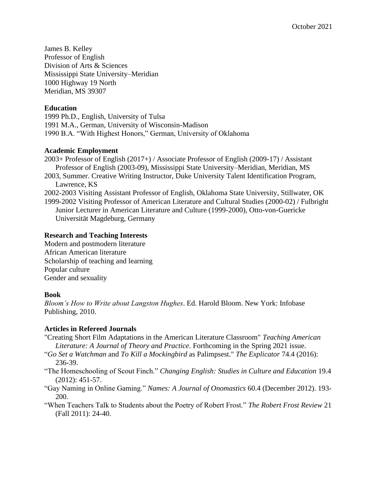James B. Kelley Professor of English Division of Arts & Sciences Mississippi State University–Meridian 1000 Highway 19 North Meridian, MS 39307

### **Education**

1999 Ph.D., English, University of Tulsa 1991 M.A., German, University of Wisconsin-Madison 1990 B.A. "With Highest Honors," German, University of Oklahoma

### **Academic Employment**

2003+ Professor of English (2017+) / Associate Professor of English (2009-17) / Assistant Professor of English (2003-09), Mississippi State University–Meridian, Meridian, MS 2003, Summer. Creative Writing Instructor, Duke University Talent Identification Program, Lawrence, KS 2002-2003 Visiting Assistant Professor of English, Oklahoma State University, Stillwater, OK 1999-2002 Visiting Professor of American Literature and Cultural Studies (2000-02) / Fulbright

Junior Lecturer in American Literature and Culture (1999-2000), Otto-von-Guericke Universität Magdeburg, Germany

### **Research and Teaching Interests**

Modern and postmodern literature African American literature Scholarship of teaching and learning Popular culture Gender and sexuality

### **Book**

*Bloom's How to Write about Langston Hughes*. Ed. Harold Bloom. New York: Infobase Publishing, 2010.

# **Articles in Refereed Journals**

- "Creating Short Film Adaptations in the American Literature Classroom" *Teaching American Literature: A Journal of Theory and Practice*. Forthcoming in the Spring 2021 issue.
- "*Go Set a Watchman* and *To Kill a Mockingbird* as Palimpsest." *The Explicator* 74.4 (2016): 236-39.
- "The Homeschooling of Scout Finch." *Changing English: Studies in Culture and Education* 19.4 (2012): 451-57.
- "Gay Naming in Online Gaming." *Names: A Journal of Onomastics* 60.4 (December 2012). 193- 200.
- "When Teachers Talk to Students about the Poetry of Robert Frost." *The Robert Frost Review* 21 (Fall 2011): 24-40.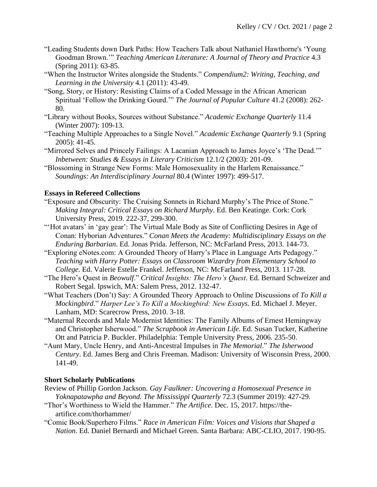- "Leading Students down Dark Paths: How Teachers Talk about Nathaniel Hawthorne's 'Young Goodman Brown.'" *Teaching American Literature: A Journal of Theory and Practice* 4.3 (Spring 2011): 63-85.
- "When the Instructor Writes alongside the Students." *Compendium2: Writing, Teaching, and Learning in the University* 4.1 (2011): 43-49.
- "Song, Story, or History: Resisting Claims of a Coded Message in the African American Spiritual 'Follow the Drinking Gourd.'" *The Journal of Popular Culture* 41.2 (2008): 262- 80.
- "Library without Books, Sources without Substance." *Academic Exchange Quarterly* 11.4 (Winter 2007): 109-13.
- "Teaching Multiple Approaches to a Single Novel." *Academic Exchange Quarterly* 9.1 (Spring 2005): 41-45.
- "Mirrored Selves and Princely Failings: A Lacanian Approach to James Joyce's 'The Dead.'" *Inbetween: Studies & Essays in Literary Criticism* 12.1/2 (2003): 201-09.
- "Blossoming in Strange New Forms: Male Homosexuality in the Harlem Renaissance." *Soundings: An Interdisciplinary Journal* 80.4 (Winter 1997): 499-517.

### **Essays in Refereed Collections**

- "Exposure and Obscurity: The Cruising Sonnets in Richard Murphy's The Price of Stone." *Making Integral: Critical Essays on Richard Murphy*. Ed. Ben Keatinge. Cork: Cork University Press, 2019. 222-37, 299-300.
- "'Hot avatars' in 'gay gear': The Virtual Male Body as Site of Conflicting Desires in Age of Conan: Hyborian Adventures." *Conan Meets the Academy: Multidisciplinary Essays on the Enduring Barbarian*. Ed. Jonas Prida. Jefferson, NC: McFarland Press, 2013. 144-73.
- "Exploring eNotes.com: A Grounded Theory of Harry's Place in Language Arts Pedagogy." *Teaching with Harry Potter: Essays on Classroom Wizardry from Elementary School to College*. Ed. Valerie Estelle Frankel. Jefferson, NC: McFarland Press, 2013. 117-28.
- "The Hero's Quest in *Beowulf*." *Critical Insights: The Hero's Quest*. Ed. Bernard Schweizer and Robert Segal. Ipswich, MA: Salem Press, 2012. 132-47.
- "What Teachers (Don't) Say: A Grounded Theory Approach to Online Discussions of *To Kill a Mockingbird*." *Harper Lee's To Kill a Mockingbird: New Essays*. Ed. Michael J. Meyer. Lanham, MD: Scarecrow Press, 2010. 3-18.
- "Maternal Records and Male Modernist Identities: The Family Albums of Ernest Hemingway and Christopher Isherwood." *The Scrapbook in American Life*. Ed. Susan Tucker, Katherine Ott and Patricia P. Buckler. Philadelphia: Temple University Press, 2006. 235-50.
- "Aunt Mary, Uncle Henry, and Anti-Ancestral Impulses in *The Memorial*." *The Isherwood Century*. Ed. James Berg and Chris Freeman. Madison: University of Wisconsin Press, 2000. 141-49.

# **Short Scholarly Publications**

- Review of Phillip Gordon Jackson. *Gay Faulkner: Uncovering a Homosexual Presence in Yoknapatawpha and Beyond. The Mississippi Quarterly* 72.3 (Summer 2019): 427-29.
- "Thor's Worthiness to Wield the Hammer." *The Artifice*. Dec. 15, 2017. https://theartifice.com/thorhammer/
- "Comic Book/Superhero Films." *Race in American Film: Voices and Visions that Shaped a Nation*. Ed. Daniel Bernardi and Michael Green. Santa Barbara: ABC-CLIO, 2017. 190-95.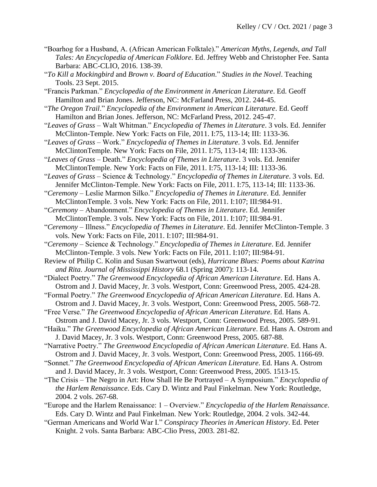- "Boarhog for a Husband, A. (African American Folktale)." *American Myths, Legends, and Tall Tales: An Encyclopedia of American Folklore*. Ed. Jeffrey Webb and Christopher Fee. Santa Barbara: ABC-CLIO, 2016. 138-39.
- "*To Kill a Mockingbird* and *Brown v. Board of Education*." *Studies in the Novel*. Teaching Tools. 23 Sept. 2015.
- "Francis Parkman." *Encyclopedia of the Environment in American Literature*. Ed. Geoff Hamilton and Brian Jones. Jefferson, NC: McFarland Press, 2012. 244-45.
- "*The Oregon Trail*." *Encyclopedia of the Environment in American Literature*. Ed. Geoff Hamilton and Brian Jones. Jefferson, NC: McFarland Press, 2012. 245-47.
- "*Leaves of Grass* Walt Whitman." *Encyclopedia of Themes in Literature*. 3 vols. Ed. Jennifer McClinton-Temple. New York: Facts on File, 2011. I:75, 113-14; III: 1133-36.
- "*Leaves of Grass* Work." *Encyclopedia of Themes in Literature*. 3 vols. Ed. Jennifer McClintonTemple. New York: Facts on File, 2011. I:75, 113-14; III: 1133-36.
- "*Leaves of Grass* Death." *Encyclopedia of Themes in Literature*. 3 vols. Ed. Jennifer McClintonTemple. New York: Facts on File, 2011. I:75, 113-14; III: 1133-36.
- "*Leaves of Grass* Science & Technology." *Encyclopedia of Themes in Literature*. 3 vols. Ed. Jennifer McClinton-Temple. New York: Facts on File, 2011. I:75, 113-14; III: 1133-36.

"*Ceremony* – Leslie Marmon Silko." *Encyclopedia of Themes in Literature*. Ed. Jennifer McClintonTemple. 3 vols. New York: Facts on File, 2011. I:107; III:984-91.

- "*Ceremony* Abandonment." *Encyclopedia of Themes in Literature*. Ed. Jennifer McClintonTemple. 3 vols. New York: Facts on File, 2011. I:107; III:984-91.
- "*Ceremony* Illness." *Encyclopedia of Themes in Literature*. Ed. Jennifer McClinton-Temple. 3 vols. New York: Facts on File, 2011. I:107; III:984-91.
- "*Ceremony* Science & Technology." *Encyclopedia of Themes in Literature*. Ed. Jennifer McClinton-Temple. 3 vols. New York: Facts on File, 2011. I:107; III:984-91.

Review of Philip C. Kolin and Susan Swartwout (eds), *Hurricane Blues: Poems about Katrina and Rita*. *Journal of Mississippi History* 68.1 (Spring 2007): 113-14.

- "Dialect Poetry." *The Greenwood Encyclopedia of African American Literature*. Ed. Hans A. Ostrom and J. David Macey, Jr. 3 vols. Westport, Conn: Greenwood Press, 2005. 424-28.
- "Formal Poetry." *The Greenwood Encyclopedia of African American Literature*. Ed. Hans A. Ostrom and J. David Macey, Jr. 3 vols. Westport, Conn: Greenwood Press, 2005. 568-72.
- "Free Verse." *The Greenwood Encyclopedia of African American Literature*. Ed. Hans A. Ostrom and J. David Macey, Jr. 3 vols. Westport, Conn: Greenwood Press, 2005. 589-91.
- "Haiku." *The Greenwood Encyclopedia of African American Literature*. Ed. Hans A. Ostrom and J. David Macey, Jr. 3 vols. Westport, Conn: Greenwood Press, 2005. 687-88.
- "Narrative Poetry." *The Greenwood Encyclopedia of African American Literature*. Ed. Hans A. Ostrom and J. David Macey, Jr. 3 vols. Westport, Conn: Greenwood Press, 2005. 1166-69.
- "Sonnet." *The Greenwood Encyclopedia of African American Literature*. Ed. Hans A. Ostrom and J. David Macey, Jr. 3 vols. Westport, Conn: Greenwood Press, 2005. 1513-15.
- "The Crisis The Negro in Art: How Shall He Be Portrayed A Symposium." *Encyclopedia of the Harlem Renaissance*. Eds. Cary D. Wintz and Paul Finkelman. New York: Routledge, 2004. 2 vols. 267-68.
- "Europe and the Harlem Renaissance: 1 Overview." *Encyclopedia of the Harlem Renaissance*. Eds. Cary D. Wintz and Paul Finkelman. New York: Routledge, 2004. 2 vols. 342-44.
- "German Americans and World War I." *Conspiracy Theories in American History*. Ed. Peter Knight. 2 vols. Santa Barbara: ABC-Clio Press, 2003. 281-82.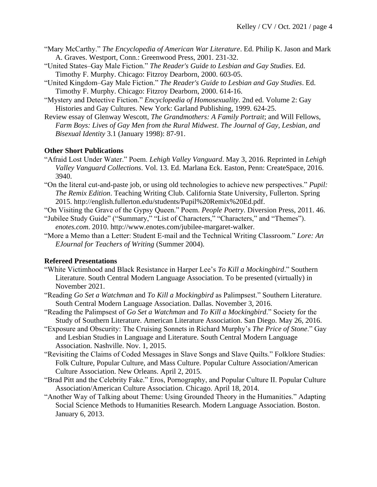- "Mary McCarthy." *The Encyclopedia of American War Literature*. Ed. Philip K. Jason and Mark A. Graves. Westport, Conn.: Greenwood Press, 2001. 231-32.
- "United States–Gay Male Fiction." *The Reader's Guide to Lesbian and Gay Studies*. Ed. Timothy F. Murphy. Chicago: Fitzroy Dearborn, 2000. 603-05.
- "United Kingdom–Gay Male Fiction." *The Reader's Guide to Lesbian and Gay Studies*. Ed. Timothy F. Murphy. Chicago: Fitzroy Dearborn, 2000. 614-16.
- "Mystery and Detective Fiction." *Encyclopedia of Homosexuality*. 2nd ed. Volume 2: Gay Histories and Gay Cultures. New York: Garland Publishing, 1999. 624-25.
- Review essay of Glenway Wescott, *The Grandmothers: A Family Portrait*; and Will Fellows, *Farm Boys: Lives of Gay Men from the Rural Midwest*. *The Journal of Gay, Lesbian, and Bisexual Identity* 3.1 (January 1998): 87-91.

### **Other Short Publications**

- "Afraid Lost Under Water." Poem. *Lehigh Valley Vanguard*. May 3, 2016. Reprinted in *Lehigh Valley Vanguard Collections*. Vol. 13. Ed. Marlana Eck. Easton, Penn: CreateSpace, 2016. 3940.
- "On the literal cut-and-paste job, or using old technologies to achieve new perspectives." *Pupil: The Remix Edition*. Teaching Writing Club. California State University, Fullerton. Spring 2015. http://english.fullerton.edu/students/Pupil%20Remix%20Ed.pdf.

"On Visiting the Grave of the Gypsy Queen." Poem. *People Poetry*. Diversion Press, 2011. 46. "Jubilee Study Guide" ("Summary," "List of Characters," "Characters," and "Themes").

*enotes.com*. 2010. http://www.enotes.com/jubilee-margaret-walker.

"More a Memo than a Letter: Student E-mail and the Technical Writing Classroom." *Lore: An EJournal for Teachers of Writing* (Summer 2004).

### **Refereed Presentations**

- "White Victimhood and Black Resistance in Harper Lee's *To Kill a Mockingbird*." Southern Literature. South Central Modern Language Association. To be presented (virtually) in November 2021.
- "Reading *Go Set a Watchman* and *To Kill a Mockingbird* as Palimpsest." Southern Literature. South Central Modern Language Association. Dallas. November 3, 2016.
- "Reading the Palimpsest of *Go Set a Watchman* and *To Kill a Mockingbird*." Society for the Study of Southern Literature. American Literature Association. San Diego. May 26, 2016.
- "Exposure and Obscurity: The Cruising Sonnets in Richard Murphy's *The Price of Stone*." Gay and Lesbian Studies in Language and Literature. South Central Modern Language Association. Nashville. Nov. 1, 2015.
- "Revisiting the Claims of Coded Messages in Slave Songs and Slave Quilts." Folklore Studies: Folk Culture, Popular Culture, and Mass Culture. Popular Culture Association/American Culture Association. New Orleans. April 2, 2015.
- "Brad Pitt and the Celebrity Fake." Eros, Pornography, and Popular Culture II. Popular Culture Association/American Culture Association. Chicago. April 18, 2014.
- "Another Way of Talking about Theme: Using Grounded Theory in the Humanities." Adapting Social Science Methods to Humanities Research. Modern Language Association. Boston. January 6, 2013.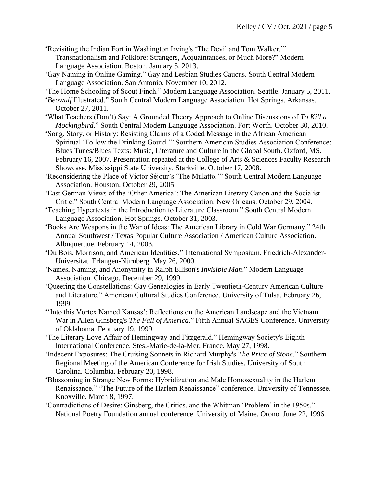- "Revisiting the Indian Fort in Washington Irving's 'The Devil and Tom Walker.'" Transnationalism and Folklore: Strangers, Acquaintances, or Much More?" Modern Language Association. Boston. January 5, 2013.
- "Gay Naming in Online Gaming." Gay and Lesbian Studies Caucus. South Central Modern Language Association. San Antonio. November 10, 2012.
- "The Home Schooling of Scout Finch." Modern Language Association. Seattle. January 5, 2011.
- "*Beowulf* Illustrated." South Central Modern Language Association. Hot Springs, Arkansas. October 27, 2011.
- "What Teachers (Don't) Say: A Grounded Theory Approach to Online Discussions of *To Kill a Mockingbird*." South Central Modern Language Association. Fort Worth. October 30, 2010.
- "Song, Story, or History: Resisting Claims of a Coded Message in the African American Spiritual 'Follow the Drinking Gourd.'" Southern American Studies Association Conference: Blues Tunes/Blues Texts: Music, Literature and Culture in the Global South. Oxford, MS. February 16, 2007. Presentation repeated at the College of Arts & Sciences Faculty Research Showcase. Mississippi State University. Starkville. October 17, 2008.
- "Reconsidering the Place of Victor Séjour's 'The Mulatto.'" South Central Modern Language Association. Houston. October 29, 2005.
- "East German Views of the 'Other America': The American Literary Canon and the Socialist Critic." South Central Modern Language Association. New Orleans. October 29, 2004.
- "Teaching Hypertexts in the Introduction to Literature Classroom." South Central Modern Language Association. Hot Springs. October 31, 2003.
- "Books Are Weapons in the War of Ideas: The American Library in Cold War Germany." 24th Annual Southwest / Texas Popular Culture Association / American Culture Association. Albuquerque. February 14, 2003.
- "Du Bois, Morrison, and American Identities." International Symposium. Friedrich-Alexander-Universität. Erlangen-Nürnberg. May 26, 2000.
- "Names, Naming, and Anonymity in Ralph Ellison's *Invisible Man*." Modern Language Association. Chicago. December 29, 1999.
- "Queering the Constellations: Gay Genealogies in Early Twentieth-Century American Culture and Literature." American Cultural Studies Conference. University of Tulsa. February 26, 1999.
- "'Into this Vortex Named Kansas': Reflections on the American Landscape and the Vietnam War in Allen Ginsberg's *The Fall of America*." Fifth Annual SAGES Conference. University of Oklahoma. February 19, 1999.
- "The Literary Love Affair of Hemingway and Fitzgerald." Hemingway Society's Eighth International Conference. Stes.-Marie-de-la-Mer, France. May 27, 1998.
- "Indecent Exposures: The Cruising Sonnets in Richard Murphy's *The Price of Stone*." Southern Regional Meeting of the American Conference for Irish Studies. University of South Carolina. Columbia. February 20, 1998.
- "Blossoming in Strange New Forms: Hybridization and Male Homosexuality in the Harlem Renaissance." "The Future of the Harlem Renaissance" conference. University of Tennessee. Knoxville. March 8, 1997.
- "Contradictions of Desire: Ginsberg, the Critics, and the Whitman 'Problem' in the 1950s." National Poetry Foundation annual conference. University of Maine. Orono. June 22, 1996.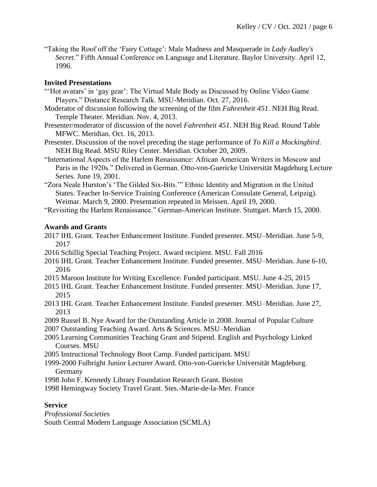"Taking the Roof off the 'Fairy Cottage': Male Madness and Masquerade in *Lady Audley's Secret*." Fifth Annual Conference on Language and Literature. Baylor University. April 12, 1996.

# **Invited Presentations**

- "'Hot avatars' in 'gay gear': The Virtual Male Body as Discussed by Online Video Game Players." Distance Research Talk. MSU-Meridian. Oct. 27, 2016.
- Moderator of discussion following the screening of the film *Fahrenheit 451*. NEH Big Read. Temple Theater. Meridian. Nov. 4, 2013.
- Presenter/moderator of discussion of the novel *Fahrenheit 451*. NEH Big Read. Round Table MFWC. Meridian. Oct. 16, 2013.
- Presenter. Discussion of the novel preceding the stage performance of *To Kill a Mockingbird*. NEH Big Read. MSU Riley Center. Meridian. October 20, 2009.
- "International Aspects of the Harlem Renaissance: African American Writers in Moscow and Paris in the 1920s." Delivered in German. Otto-von-Guericke Universität Magdeburg Lecture Series. June 19, 2001.
- "Zora Neale Hurston's 'The Gilded Six-Bits.'" Ethnic Identity and Migration in the United States. Teacher In-Service Training Conference (American Consulate General, Leipzig). Weimar. March 9, 2000. Presentation repeated in Meissen. April 19, 2000.

"Revisiting the Harlem Renaissance." German-American Institute. Stuttgart. March 15, 2000.

# **Awards and Grants**

- 2017 IHL Grant. Teacher Enhancement Institute. Funded presenter. MSU–Meridian. June 5-9, 2017
- 2016 Schillig Special Teaching Project. Award recipient. MSU. Fall 2016
- 2016 IHL Grant. Teacher Enhancement Institute. Funded presenter. MSU–Meridian. June 6-10, 2016
- 2015 Maroon Institute for Writing Excellence. Funded participant. MSU. June 4-25, 2015
- 2015 IHL Grant. Teacher Enhancement Institute. Funded presenter. MSU–Meridian. June 17, 2015
- 2013 IHL Grant. Teacher Enhancement Institute. Funded presenter. MSU–Meridian. June 27, 2013
- 2009 Russel B. Nye Award for the Outstanding Article in 2008. Journal of Popular Culture 2007 Outstanding Teaching Award. Arts & Sciences. MSU–Meridian
- 
- 2005 Learning Communities Teaching Grant and Stipend. English and Psychology Linked Courses. MSU
- 2005 Instructional Technology Boot Camp. Funded participant. MSU
- 1999-2000 Fulbright Junior Lecturer Award. Otto-von-Guericke Universität Magdeburg. Germany
- 1998 John F. Kennedy Library Foundation Research Grant. Boston
- 1998 Hemingway Society Travel Grant. Stes.-Marie-de-la-Mer. France

# **Service**

*Professional Societies*  South Central Modern Language Association (SCMLA)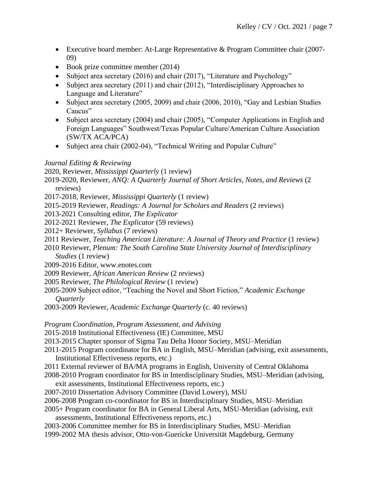- Executive board member: At-Large Representative & Program Committee chair (2007- 09)
- Book prize committee member (2014)
- Subject area secretary (2016) and chair (2017), "Literature and Psychology"
- Subject area secretary (2011) and chair (2012), "Interdisciplinary Approaches to Language and Literature"
- Subject area secretary (2005, 2009) and chair (2006, 2010), "Gay and Lesbian Studies Caucus"
- Subject area secretary (2004) and chair (2005), "Computer Applications in English and Foreign Languages" Southwest/Texas Popular Culture/American Culture Association (SW/TX ACA/PCA)
- Subject area chair (2002-04), "Technical Writing and Popular Culture"

### *Journal Editing & Reviewing*

2020, Reviewer, *Mississippi Quarterly* (1 review)

2019-2020, Reviewer, *ANQ: A Quarterly Journal of Short Articles, Notes, and Reviews* (2 reviews)

- 2017-2018, Reviewer, *Mississippi Quarterly* (1 review)
- 2015-2019 Reviewer, *Readings: A Journal for Scholars and Readers* (2 reviews)
- 2013-2021 Consulting editor, *The Explicator*
- 2012-2021 Reviewer, *The Explicator* (59 reviews)
- 2012+ Reviewer, *Syllabus* (7 reviews)
- 2011 Reviewer, *Teaching American Literature: A Journal of Theory and Practice* (1 review)
- 2010 Reviewer, *Plenum: The South Carolina State University Journal of Interdisciplinary Studies* (1 review)
- 2009-2016 Editor, www.enotes.com
- 2009 Reviewer, *African American Review* (2 reviews)
- 2005 Reviewer*, The Philological Review* (1 review)
- 2005-2009 Subject editor, "Teaching the Novel and Short Fiction," *Academic Exchange Quarterly*
- 2003-2009 Reviewer, *Academic Exchange Quarterly* (c. 40 reviews)

*Program Coordination, Program Assessment, and Advising* 

- 2015-2018 Institutional Effectiveness (IE) Committee, MSU
- 2013-2015 Chapter sponsor of Sigma Tau Delta Honor Society, MSU–Meridian
- 2011-2015 Program coordinator for BA in English, MSU–Meridian (advising, exit assessments, Institutional Effectiveness reports, etc.)
- 2011 External reviewer of BA/MA programs in English, University of Central Oklahoma
- 2008-2010 Program coordinator for BS in Interdisciplinary Studies, MSU–Meridian (advising,
- exit assessments, Institutional Effectiveness reports, etc.)
- 2007-2010 Dissertation Advisory Committee (David Lowery), MSU
- 2006-2008 Program co-coordinator for BS in Interdisciplinary Studies, MSU–Meridian
- 2005+ Program coordinator for BA in General Liberal Arts, MSU-Meridian (advising, exit assessments, Institutional Effectiveness reports, etc.)
- 2003-2006 Committee member for BS in Interdisciplinary Studies, MSU–Meridian
- 1999-2002 MA thesis advisor, Otto-von-Guericke Universität Magdeburg, Germany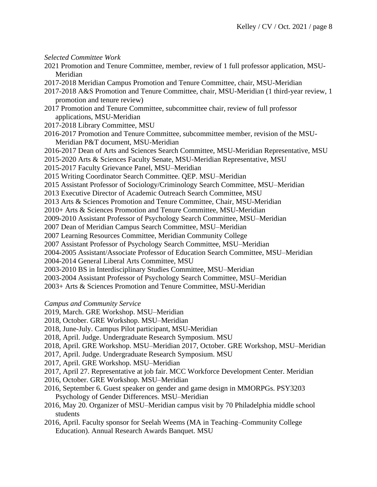*Selected Committee Work* 

- 2021 Promotion and Tenure Committee, member, review of 1 full professor application, MSU-Meridian
- 2017-2018 Meridian Campus Promotion and Tenure Committee, chair, MSU-Meridian
- 2017-2018 A&S Promotion and Tenure Committee, chair, MSU-Meridian (1 third-year review, 1 promotion and tenure review)
- 2017 Promotion and Tenure Committee, subcommittee chair, review of full professor applications, MSU-Meridian
- 2017-2018 Library Committee, MSU
- 2016-2017 Promotion and Tenure Committee, subcommittee member, revision of the MSU-Meridian P&T document, MSU-Meridian
- 2016-2017 Dean of Arts and Sciences Search Committee, MSU-Meridian Representative, MSU
- 2015-2020 Arts & Sciences Faculty Senate, MSU-Meridian Representative, MSU
- 2015-2017 Faculty Grievance Panel, MSU–Meridian
- 2015 Writing Coordinator Search Committee. QEP. MSU–Meridian
- 2015 Assistant Professor of Sociology/Criminology Search Committee, MSU–Meridian
- 2013 Executive Director of Academic Outreach Search Committee, MSU
- 2013 Arts & Sciences Promotion and Tenure Committee, Chair, MSU-Meridian
- 2010+ Arts & Sciences Promotion and Tenure Committee, MSU-Meridian
- 2009-2010 Assistant Professor of Psychology Search Committee, MSU–Meridian
- 2007 Dean of Meridian Campus Search Committee, MSU–Meridian
- 2007 Learning Resources Committee, Meridian Community College
- 2007 Assistant Professor of Psychology Search Committee, MSU–Meridian
- 2004-2005 Assistant/Associate Professor of Education Search Committee, MSU–Meridian
- 2004-2014 General Liberal Arts Committee, MSU
- 2003-2010 BS in Interdisciplinary Studies Committee, MSU–Meridian
- 2003-2004 Assistant Professor of Psychology Search Committee, MSU–Meridian
- 2003+ Arts & Sciences Promotion and Tenure Committee, MSU-Meridian
- *Campus and Community Service*
- 2019, March. GRE Workshop. MSU–Meridian
- 2018, October. GRE Workshop. MSU–Meridian
- 2018, June-July. Campus Pilot participant, MSU-Meridian
- 2018, April. Judge. Undergraduate Research Symposium. MSU
- 2018, April. GRE Workshop. MSU–Meridian 2017, October. GRE Workshop, MSU–Meridian
- 2017, April. Judge. Undergraduate Research Symposium. MSU
- 2017, April. GRE Workshop. MSU–Meridian
- 2017, April 27. Representative at job fair. MCC Workforce Development Center. Meridian
- 2016, October. GRE Workshop. MSU–Meridian
- 2016, September 6. Guest speaker on gender and game design in MMORPGs. PSY3203 Psychology of Gender Differences. MSU–Meridian
- 2016, May 20. Organizer of MSU–Meridian campus visit by 70 Philadelphia middle school students
- 2016, April. Faculty sponsor for Seelah Weems (MA in Teaching–Community College Education). Annual Research Awards Banquet. MSU